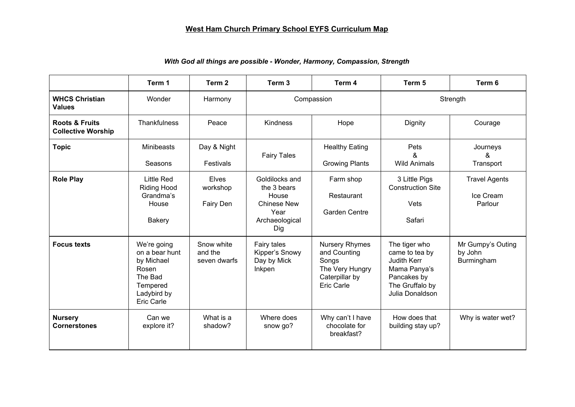## **West Ham Church Primary School EYFS Curriculum Map**

|                                                        | Term 1                                                                                                   | Term 2                                | Term <sub>3</sub>                                                                             | Term 4                                                                                                   | Term 5                                                                                                                     | Term 6                                       |
|--------------------------------------------------------|----------------------------------------------------------------------------------------------------------|---------------------------------------|-----------------------------------------------------------------------------------------------|----------------------------------------------------------------------------------------------------------|----------------------------------------------------------------------------------------------------------------------------|----------------------------------------------|
| <b>WHCS Christian</b><br><b>Values</b>                 | Wonder                                                                                                   | Harmony                               | Compassion                                                                                    |                                                                                                          | Strength                                                                                                                   |                                              |
| <b>Roots &amp; Fruits</b><br><b>Collective Worship</b> | <b>Thankfulness</b>                                                                                      | Peace                                 | Kindness                                                                                      | Hope                                                                                                     | Dignity                                                                                                                    | Courage                                      |
| <b>Topic</b>                                           | <b>Minibeasts</b><br>Seasons                                                                             | Day & Night<br>Festivals              | <b>Fairy Tales</b>                                                                            | <b>Healthy Eating</b><br><b>Growing Plants</b>                                                           | Pets<br>&<br><b>Wild Animals</b>                                                                                           | Journeys<br>&<br>Transport                   |
| <b>Role Play</b>                                       | <b>Little Red</b><br><b>Riding Hood</b><br>Grandma's<br>House<br><b>Bakery</b>                           | <b>Elves</b><br>workshop<br>Fairy Den | Goldilocks and<br>the 3 bears<br>House<br><b>Chinese New</b><br>Year<br>Archaeological<br>Dig | Farm shop<br>Restaurant<br><b>Garden Centre</b>                                                          | 3 Little Pigs<br><b>Construction Site</b><br><b>Vets</b><br>Safari                                                         | <b>Travel Agents</b><br>Ice Cream<br>Parlour |
| <b>Focus texts</b>                                     | We're going<br>on a bear hunt<br>by Michael<br>Rosen<br>The Bad<br>Tempered<br>Ladybird by<br>Eric Carle | Snow white<br>and the<br>seven dwarfs | Fairy tales<br>Kipper's Snowy<br>Day by Mick<br>Inkpen                                        | <b>Nursery Rhymes</b><br>and Counting<br>Songs<br>The Very Hungry<br>Caterpillar by<br><b>Eric Carle</b> | The tiger who<br>came to tea by<br><b>Judith Kerr</b><br>Mama Panya's<br>Pancakes by<br>The Gruffalo by<br>Julia Donaldson | Mr Gumpy's Outing<br>by John<br>Burmingham   |
| <b>Nursery</b><br><b>Cornerstones</b>                  | Can we<br>explore it?                                                                                    | What is a<br>shadow?                  | Where does<br>snow go?                                                                        | Why can't I have<br>chocolate for<br>breakfast?                                                          | How does that<br>building stay up?                                                                                         | Why is water wet?                            |

## *With God all things are possible - Wonder, Harmony, Compassion, Strength*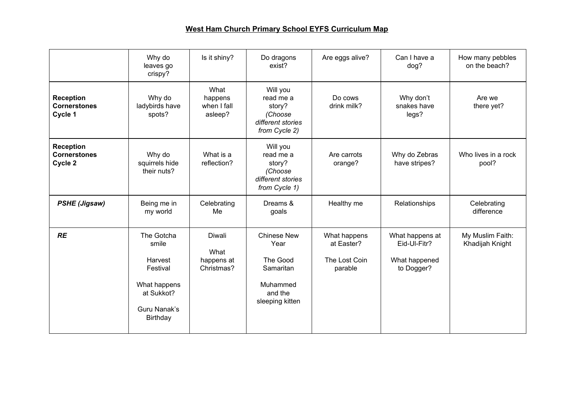## **West Ham Church Primary School EYFS Curriculum Map**

|                                                    | Why do<br>leaves go<br>crispy?                                                                       | Is it shiny?                               | Do dragons<br>exist?                                                                   | Are eggs alive?                                        | Can I have a<br>dog?                                           | How many pebbles<br>on the beach?   |
|----------------------------------------------------|------------------------------------------------------------------------------------------------------|--------------------------------------------|----------------------------------------------------------------------------------------|--------------------------------------------------------|----------------------------------------------------------------|-------------------------------------|
| <b>Reception</b><br><b>Cornerstones</b><br>Cycle 1 | Why do<br>ladybirds have<br>spots?                                                                   | What<br>happens<br>when I fall<br>asleep?  | Will you<br>read me a<br>story?<br>(Choose<br>different stories<br>from Cycle 2)       | Do cows<br>drink milk?                                 | Why don't<br>snakes have<br>legs?                              | Are we<br>there yet?                |
| <b>Reception</b><br><b>Cornerstones</b><br>Cycle 2 | Why do<br>squirrels hide<br>their nuts?                                                              | What is a<br>reflection?                   | Will you<br>read me a<br>story?<br>(Choose<br>different stories<br>from Cycle 1)       | Are carrots<br>orange?                                 | Why do Zebras<br>have stripes?                                 | Who lives in a rock<br>pool?        |
| <b>PSHE (Jigsaw)</b>                               | Being me in<br>my world                                                                              | Celebrating<br>Me                          | Dreams &<br>goals                                                                      | Healthy me                                             | Relationships                                                  | Celebrating<br>difference           |
| <b>RE</b>                                          | The Gotcha<br>smile<br>Harvest<br>Festival<br>What happens<br>at Sukkot?<br>Guru Nanak's<br>Birthday | Diwali<br>What<br>happens at<br>Christmas? | Chinese New<br>Year<br>The Good<br>Samaritan<br>Muhammed<br>and the<br>sleeping kitten | What happens<br>at Easter?<br>The Lost Coin<br>parable | What happens at<br>Eid-Ul-Fitr?<br>What happened<br>to Dogger? | My Muslim Faith:<br>Khadijah Knight |